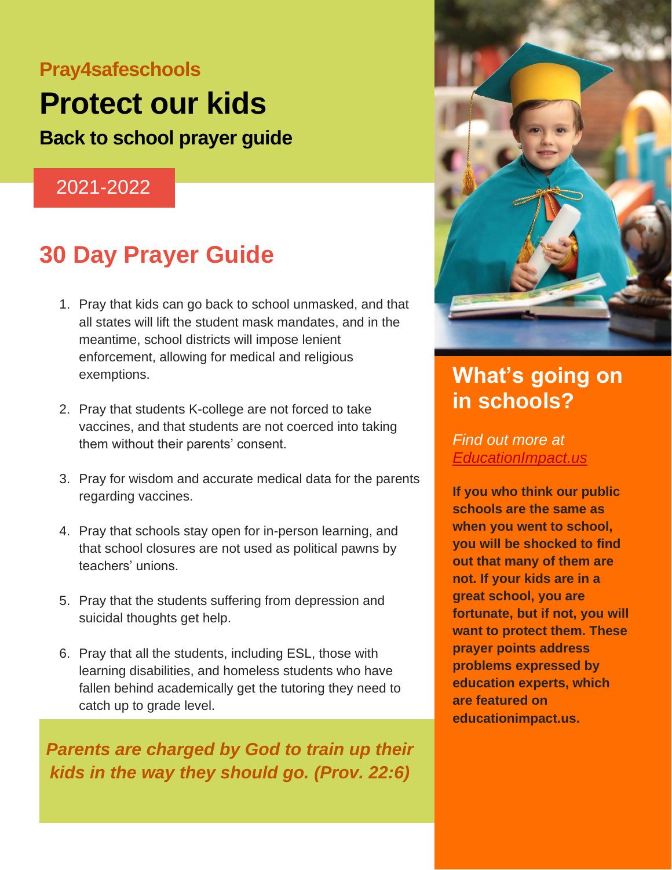### **Pray4safeschools**

# **Protect our kids**

**Back to school prayer guide**

#### 2021-2022

## **30 Day Prayer Guide**

- 1. Pray that kids can go back to school unmasked, and that all states will lift the student mask mandates, and in the meantime, school districts will impose lenient enforcement, allowing for medical and religious exemptions.
- 2. Pray that students K-college are not forced to take vaccines, and that students are not coerced into taking them without their parents' consent.
- 3. Pray for wisdom and accurate medical data for the parents regarding vaccines.
- 4. Pray that schools stay open for in-person learning, and that school closures are not used as political pawns by teachers' unions.
- 5. Pray that the students suffering from depression and suicidal thoughts get help.
- 6. Pray that all the students, including ESL, those with learning disabilities, and homeless students who have fallen behind academically get the tutoring they need to catch up to grade level.

kids in the way they should go. (Prov. 22:6) *Parents are charged by God to train up their* 

8. Pray that God's peace permeates the hearts and minds of



## **What's going on in schools?**

*Find out more at [EducationImpact.us](http://www.educationimpact.us/)*

**If you who think our public schools are the same as when you went to school, you will be shocked to find out that many of them are not. If your kids are in a great school, you are fortunate, but if not, you will want to protect them. These prayer points address problems expressed by education experts, which are featured on educationimpact.us.**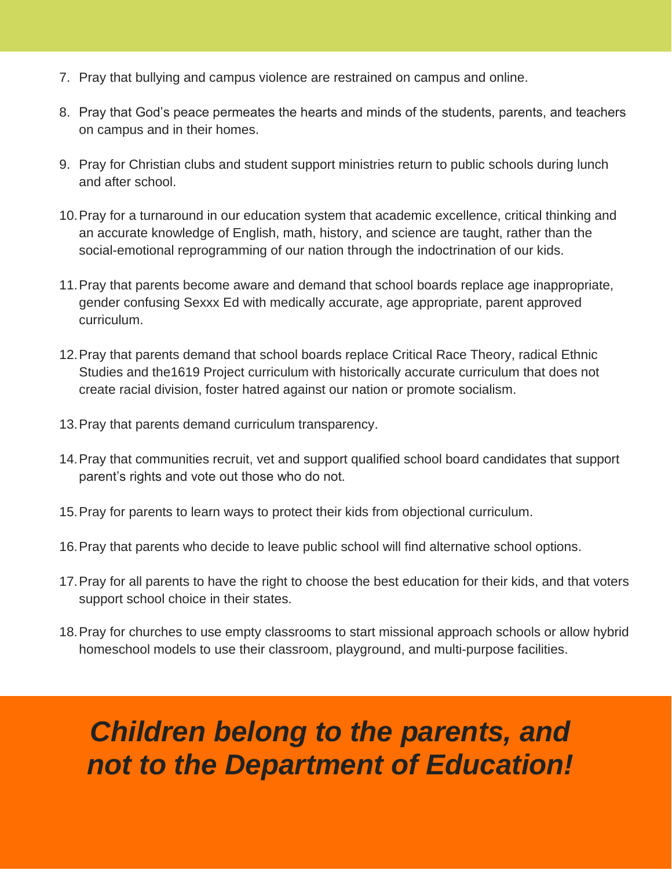- 7. Pray that bullying and campus violence are restrained on campus and online.
- 8. Pray that God's peace permeates the hearts and minds of the students, parents, and teachers on campus and in their homes.
- 9. Pray for Christian clubs and student support ministries return to public schools during lunch and after school.
- 10.Pray for a turnaround in our education system that academic excellence, critical thinking and an accurate knowledge of English, math, history, and science are taught, rather than the social-emotional reprogramming of our nation through the indoctrination of our kids.
- 11.Pray that parents become aware and demand that school boards replace age inappropriate, gender confusing Sexxx Ed with medically accurate, age appropriate, parent approved curriculum.
- 12.Pray that parents demand that school boards replace Critical Race Theory, radical Ethnic Studies and the1619 Project curriculum with historically accurate curriculum that does not create racial division, foster hatred against our nation or promote socialism.
- 13.Pray that parents demand curriculum transparency.
- 14.Pray that communities recruit, vet and support qualified school board candidates that support parent's rights and vote out those who do not.
- 15.Pray for parents to learn ways to protect their kids from objectional curriculum.
- 16.Pray that parents who decide to leave public school will find alternative school options.
- 17.Pray for all parents to have the right to choose the best education for their kids, and that voters support school choice in their states.
- 18.Pray for churches to use empty classrooms to start missional approach schools or allow hybrid homeschool models to use their classroom, playground, and multi-purpose facilities.

## *Children belong to the parents, and not to the Department of Education!*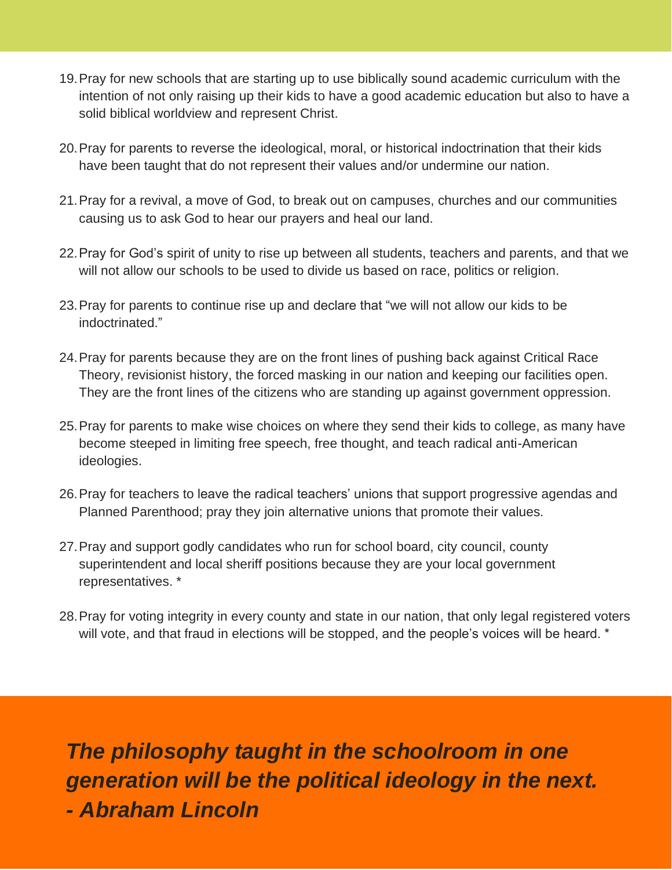- 19.Pray for new schools that are starting up to use biblically sound academic curriculum with the intention of not only raising up their kids to have a good academic education but also to have a solid biblical worldview and represent Christ.
- 20.Pray for parents to reverse the ideological, moral, or historical indoctrination that their kids have been taught that do not represent their values and/or undermine our nation.
- 21.Pray for a revival, a move of God, to break out on campuses, churches and our communities causing us to ask God to hear our prayers and heal our land.
- 22.Pray for God's spirit of unity to rise up between all students, teachers and parents, and that we will not allow our schools to be used to divide us based on race, politics or religion.
- 23.Pray for parents to continue rise up and declare that "we will not allow our kids to be indoctrinated."
- 24.Pray for parents because they are on the front lines of pushing back against Critical Race Theory, revisionist history, the forced masking in our nation and keeping our facilities open. They are the front lines of the citizens who are standing up against government oppression.
- 25.Pray for parents to make wise choices on where they send their kids to college, as many have become steeped in limiting free speech, free thought, and teach radical anti-American ideologies.
- 26.Pray for teachers to leave the radical teachers' unions that support progressive agendas and Planned Parenthood; pray they join alternative unions that promote their values.
- 27.Pray and support godly candidates who run for school board, city council, county superintendent and local sheriff positions because they are your local government representatives. \*
- 28.Pray for voting integrity in every county and state in our nation, that only legal registered voters will vote, and that fraud in elections will be stopped, and the people's voices will be heard. \*

*The philosophy taught in the schoolroom in one generation will be the political ideology in the next. - Abraham Lincoln*